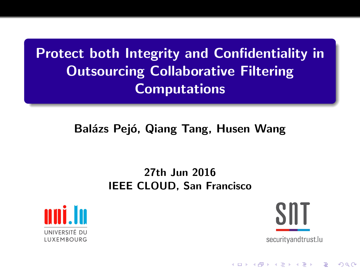Protect both Integrity and Confidentiality in Outsourcing Collaborative Filtering **Computations** 

#### Balázs Pejó, Qiang Tang, Husen Wang

#### 27th Jun 2016 IEEE CLOUD, San Francisco





**KORK STRAIN A BAR SHOP**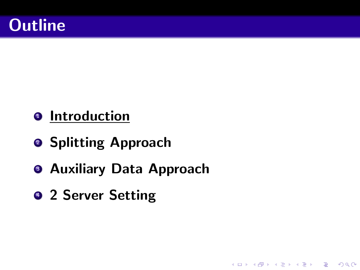## **Outline**

- $\bullet$  Introduction
- **2 Splitting Approach**
- **Auxiliary Data Approach**

K ロ > K @ > K 할 > K 할 > 1 할 : ⊙ Q Q\*

**9 2 Server Setting**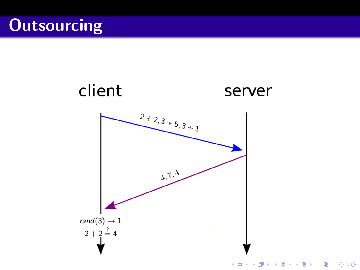## **Outsourcing**

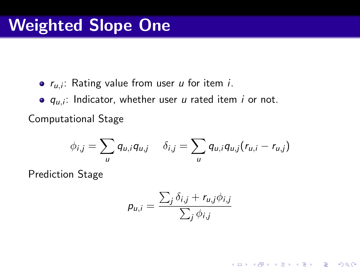$r_{u,i}$ : Rating value from user u for item i.

 $q_{u,i}$ : Indicator, whether user u rated item i or not. Computational Stage

$$
\phi_{i,j} = \sum_{u} q_{u,i} q_{u,j} \quad \delta_{i,j} = \sum_{u} q_{u,i} q_{u,j} (r_{u,i} - r_{u,j})
$$

Prediction Stage

$$
p_{u,i} = \frac{\sum_{j} \delta_{i,j} + r_{u,j} \phi_{i,j}}{\sum_{j} \phi_{i,j}}
$$

**KORK ERKER ORANDI**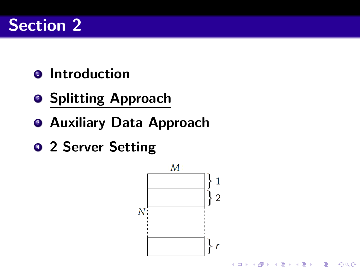## Section 2

- $\bullet$  Introduction
- **2 Splitting Approach**
- **Auxiliary Data Approach**
- 2 Server Setting

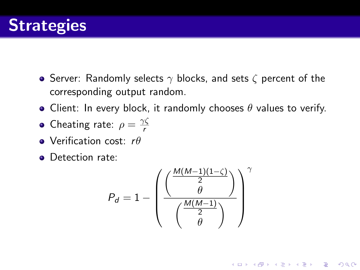

- Server: Randomly selects  $\gamma$  blocks, and sets  $\zeta$  percent of the corresponding output random.
- Client: In every block, it randomly chooses  $\theta$  values to verify.
- Cheating rate:  $\rho = \frac{\gamma \zeta}{r}$ r
- Verification cost:  $r\theta$
- **•** Detection rate:

$$
P_d = 1 - \left(\frac{\left(\frac{M(M-1)(1-\zeta)}{2}\right)}{\left(\frac{M(M-1)}{2}\right)}\right)^{\gamma}
$$

**KORK ERKER ORANDI**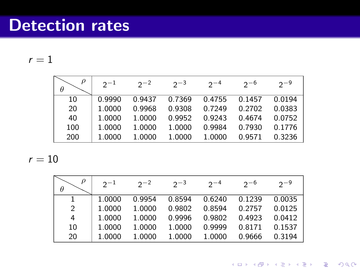### Detection rates

 $r = 1$ 

| ρ<br>θ | $2^{-1}$ | $2^{\sim}$ | $2 - 3$ | $2 - 4$ | $2 - 6$ | $2 - 9$ |
|--------|----------|------------|---------|---------|---------|---------|
| 10     | 0.9990   | 0 9437     | 0.7369  | 0.4755  | 0.1457  | 0.0194  |
| 20     | 1.0000   | 0.9968     | 0.9308  | 0.7249  | 0.2702  | 0.0383  |
| 40     | 1.0000   | 1.0000     | 0.9952  | 0.9243  | 0.4674  | 0.0752  |
| 100    | 1.0000   | 1.0000     | 1.0000  | 0.9984  | 0.7930  | 0.1776  |
| 200    | 1.0000   | 1.0000     | 1.0000  | 1.0000  | 0.9571  | 0.3236  |

 $r=10$ 

|                | $2^{-1}$ | $2^{\sim}$ | $2 - 3$ | $2 - 4$ | $2 - 6$ | $2 - 9$ |
|----------------|----------|------------|---------|---------|---------|---------|
| 1              | 1.0000   | 09954      | 0.8594  | 0.6240  | 0.1239  | 0.0035  |
| $\overline{2}$ | 1.0000   | 1.0000     | 0.9802  | 0.8594  | 0.2757  | 0.0125  |
| 4              | 1.0000   | 1.0000     | 0.9996  | 0.9802  | 0.4923  | 0.0412  |
| 10             | 1.0000   | 1.0000     | 1.0000  | 0.9999  | 0.8171  | 0.1537  |
| 20             | 1.0000   | 1.0000     | 1.0000  | 1.0000  | 0.9666  | 0.3194  |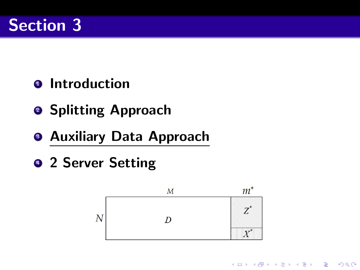## Section 3

- $\bullet$  Introduction
- **2 Splitting Approach**
- **Auxiliary Data Approach**
- 2 Server Setting



**KORK ERKER ORANDI**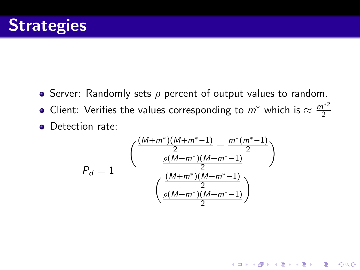- Server: Randomly sets  $\rho$  percent of output values to random.
- Client: Verifies the values corresponding to  $m^*$  which is  $\approx \frac{m^{*2}}{2}$ 2
- Detection rate:

$$
P_d = 1 - \frac{\frac{\left(\frac{(M+m^*)(M+m^*-1)}{2}-\frac{m^*(m^*-1)}{2}\right)}{\rho(M+m^*)(M+m^*-1)}}{\left(\frac{(M+m^*)(M+m^*-1)}{2}\right)}
$$

K ロ ▶ K @ ▶ K 할 > K 할 > 1 할 > 1 이익어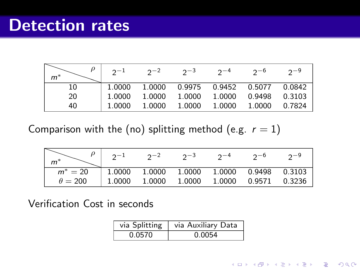|       | $2^{ - 1}$ | $2^{\sim}$ | $2 - 3$ | $2 - 4$                        | $2 - 6$ | $2 - 9$ |
|-------|------------|------------|---------|--------------------------------|---------|---------|
| $m^*$ |            |            |         |                                |         |         |
| 10    | 1.0000     | 1.0000     |         | 0.9975  0.9452  0.5077  0.0842 |         |         |
| 20    | 1.0000     | 1.0000     | 1.0000  | 1.0000                         | 0.9498  | 0.3103  |
| 40    | 1.0000     | 1.0000     | 1.0000  | 1.0000                         | 1.0000  | 0.7824  |

Comparison with the (no) splitting method (e.g.  $r = 1$ )

|                | $2^{-1}$                                          | $2^{-2}$ $2^{-3}$ $2^{-4}$ |  | $2^{-6}$ | $2 - 9$ |
|----------------|---------------------------------------------------|----------------------------|--|----------|---------|
| $m^*$          |                                                   |                            |  |          |         |
| $m^* = 20$     | $\vert$ 1.0000 1.0000 1.0000 1.0000 0.9498 0.3103 |                            |  |          |         |
| $\theta = 200$ | $\vert$ 1.0000 1.0000 1.0000 1.0000 0.9571 0.3236 |                            |  |          |         |

Verification Cost in seconds

| via Splitting | via Auxiliary Data |  |  |  |  |
|---------------|--------------------|--|--|--|--|
| 0.0570        | 0.0054             |  |  |  |  |

K ロ X K (P) X (E) X (E) X (E) X (P) Q (P)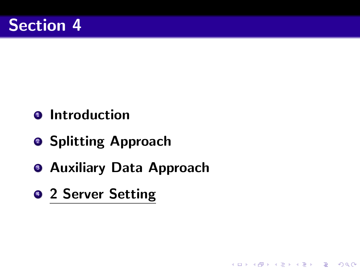### Section 4

- $\bullet$  Introduction
- **2 Splitting Approach**
- **Auxiliary Data Approach**

K ロ ▶ K @ ▶ K 할 ▶ K 할 ▶ 이 할 → 9 Q @

• 2 Server Setting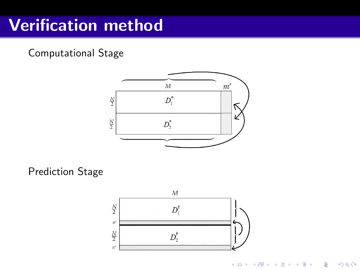## Verification method

Computational Stage



Prediction Stage



K ロ ▶ K @ ▶ K 할 > K 할 > 1 할 > 1 이익어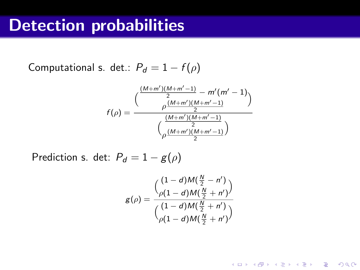### Detection probabilities

Computational s. det.:  $P_d = 1 - f(\rho)$ 

$$
f(\rho) = \frac{\left(\frac{(M+m')(M+m'-1)}{2} - m'(m'-1)\right)}{\rho \frac{(M+m')(M+m'-1)}{2}}
$$

$$
\left(\frac{(M+m')(M+m'-1)}{2}\right)
$$

Prediction s. det:  $P_d = 1 - g(\rho)$ 

$$
g(\rho)=\frac{\binom{(1-d)M(\frac{N}{2}-n')}{\rho(1-d)M(\frac{N}{2}+n')}}{\binom{(1-d)M(\frac{N}{2}+n')}{\rho(1-d)M(\frac{N}{2}+n')}}
$$

K ロ ▶ K @ ▶ K 할 ▶ K 할 ▶ | 할 | © 9 Q @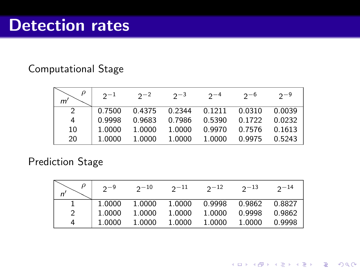#### Computational Stage

|    | $2^{-1}$ | $2^{\sim}$ | $2^{3}$                        | $2^{-4}$ | $2^{-6}$ | $2 - 9$ |
|----|----------|------------|--------------------------------|----------|----------|---------|
| 2  | 0.7500   |            | 0.4375  0.2344  0.1211  0.0310 |          |          | 0.0039  |
| 4  | 0.9998   | 0.9683     | 0.7986  0.5390                 |          | 0.1722   | 0.0232  |
| 10 | 1.0000   | 1.0000     | 1.0000                         | 0.9970   | 0.7576   | 0.1613  |
| 20 | 1.0000   | 1.0000     | 1.0000                         | 1.0000   | 0.9975   | 0.5243  |

#### Prediction Stage

|   | $2^{-9}$ | $2^{-10}$ | $2^{-11}$ | $2^{-12}$ | $2^{-13}$ | $2^{\sim}$ 14 |
|---|----------|-----------|-----------|-----------|-----------|---------------|
|   | 1.0000   | 1.0000    | 1.0000    | 0.9998    | 0.9862    | 0.8827        |
| 2 | 1.0000   | 1.0000    | 1.0000    | 1.0000    | 0.9998    | 0.9862        |
|   | 1.0000   | 1.0000    | 1.0000    | 1.0000    | 1.0000    | 0.9998        |